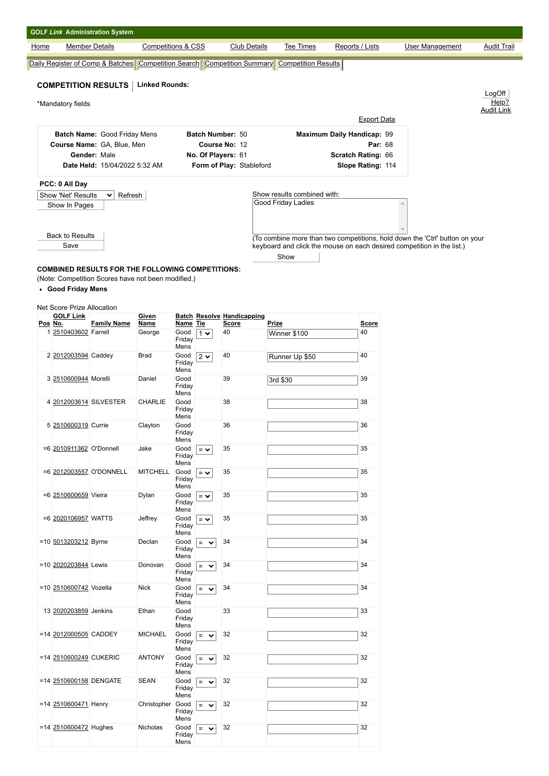|                |                                                | <b>GOLF Link Administration System</b>                  |                                   |                            |                       |                                     |                                                                                                   |                                      |                                                                             |                    |
|----------------|------------------------------------------------|---------------------------------------------------------|-----------------------------------|----------------------------|-----------------------|-------------------------------------|---------------------------------------------------------------------------------------------------|--------------------------------------|-----------------------------------------------------------------------------|--------------------|
| Home           |                                                | <b>Member Details</b>                                   | <b>Competitions &amp; CSS</b>     |                            |                       | <b>Club Details</b>                 | Tee Times                                                                                         | Reports / Lists                      | <b>User Management</b>                                                      | <b>Audit Trail</b> |
|                |                                                |                                                         |                                   |                            |                       |                                     | Daily Register of Comp & Batches   Competition Search   Competition Summary   Competition Results |                                      |                                                                             |                    |
|                |                                                | <b>COMPETITION RESULTS</b>                              | <b>Linked Rounds:</b>             |                            |                       |                                     |                                                                                                   |                                      |                                                                             |                    |
|                | *Mandatory fields                              |                                                         |                                   |                            |                       |                                     |                                                                                                   |                                      |                                                                             | LogOff<br>Help?    |
|                |                                                |                                                         |                                   |                            |                       |                                     |                                                                                                   | <b>Export Data</b>                   |                                                                             | <b>Audit Link</b>  |
|                |                                                | Batch Name: Good Friday Mens                            |                                   |                            |                       | Batch Number: 50                    |                                                                                                   | Maximum Daily Handicap: 99           |                                                                             |                    |
|                |                                                | Course Name: GA, Blue, Men<br>Gender: Male              |                                   |                            |                       | Course No: 12<br>No. Of Players: 61 |                                                                                                   | <b>Par: 68</b><br>Scratch Rating: 66 |                                                                             |                    |
|                |                                                | Date Held: 15/04/2022 5:32 AM                           |                                   |                            |                       | Form of Play: Stableford            |                                                                                                   | Slope Rating: 114                    |                                                                             |                    |
|                | PCC: 0 All Day                                 |                                                         |                                   |                            |                       |                                     |                                                                                                   |                                      |                                                                             |                    |
|                | Show 'Net' Results<br>Show In Pages            | $\checkmark$<br>Refresh                                 |                                   |                            |                       |                                     | Show results combined with:<br><b>Good Friday Ladies</b>                                          |                                      |                                                                             |                    |
|                |                                                |                                                         |                                   |                            |                       |                                     |                                                                                                   |                                      |                                                                             |                    |
|                | <b>Back to Results</b>                         |                                                         |                                   |                            |                       |                                     |                                                                                                   |                                      | (To combine more than two competitions, hold down the 'Ctrl' button on your |                    |
|                | Save                                           |                                                         |                                   |                            |                       |                                     | Show                                                                                              |                                      | keyboard and click the mouse on each desired competition in the list.)      |                    |
|                |                                                | <b>COMBINED RESULTS FOR THE FOLLOWING COMPETITIONS:</b> |                                   |                            |                       |                                     |                                                                                                   |                                      |                                                                             |                    |
|                | • Good Friday Mens                             | (Note: Competition Scores have not been modified.)      |                                   |                            |                       |                                     |                                                                                                   |                                      |                                                                             |                    |
|                |                                                |                                                         |                                   |                            |                       |                                     |                                                                                                   |                                      |                                                                             |                    |
|                | Net Score Prize Allocation<br><b>GOLF Link</b> |                                                         | Given                             |                            |                       | <b>Batch Resolve Handicapping</b>   | Prize                                                                                             |                                      |                                                                             |                    |
| <u>Pos No.</u> | 1 2510403602 Farrell                           | <b>Family Name</b>                                      | <b>Name</b><br>George             | Name Tie<br>Good<br>Friday | $1 \vee$              | <b>Score</b><br>40                  | Winner \$100                                                                                      | <b>Score</b><br>40                   |                                                                             |                    |
|                | 2 2012003594 Caddey                            |                                                         | Brad                              | Mens<br>Good               |                       | 40                                  |                                                                                                   | 40                                   |                                                                             |                    |
|                |                                                |                                                         |                                   | Friday<br>Mens             | $2\,\checkmark$       |                                     | Runner Up \$50                                                                                    |                                      |                                                                             |                    |
|                | 3 2510600944 Morelli                           |                                                         | Daniel                            | Good<br>Friday             |                       | 39                                  | 3rd \$30                                                                                          | 39                                   |                                                                             |                    |
|                | 4 2012003614 SILVESTER                         |                                                         | CHARLIE                           | Mens<br>Good               |                       | 38                                  |                                                                                                   | 38                                   |                                                                             |                    |
|                |                                                |                                                         |                                   | Friday<br>Mens             |                       |                                     |                                                                                                   |                                      |                                                                             |                    |
|                | 5 2510600319 Currie                            |                                                         | Clayton                           | Good<br>Friday             |                       | 36                                  |                                                                                                   | 36                                   |                                                                             |                    |
|                | =6 2010911362 O'Donnell                        |                                                         | Jake                              | Mens<br>Good               | $=$ $\vee$            | 35                                  |                                                                                                   | 35                                   |                                                                             |                    |
|                |                                                | =6 2012003557 O'DONNELL                                 | <b>MITCHELL</b>                   | Friday<br>Mens             |                       |                                     |                                                                                                   |                                      |                                                                             |                    |
|                |                                                |                                                         |                                   | Good<br>Friday<br>Mens     | $=$ $\vee$            | 35                                  |                                                                                                   | 35                                   |                                                                             |                    |
|                | =6 2510600659 Vieira                           |                                                         | Dylan                             | Good<br>Friday             | $=$ $\vee$            | 35                                  |                                                                                                   | 35                                   |                                                                             |                    |
|                | =6 2020106957 WATTS                            |                                                         | Jeffrey                           | Mens<br>Good               | $=$ $\vee$            | 35                                  |                                                                                                   | 35                                   |                                                                             |                    |
|                |                                                |                                                         |                                   | Friday<br>Mens             |                       |                                     |                                                                                                   |                                      |                                                                             |                    |
|                | =10 5013203212 Byrne                           |                                                         | Declan                            | Good<br>Friday             | $=$ $\vee$            | 34                                  |                                                                                                   | 34                                   |                                                                             |                    |
|                | =10 2020203844 Lewis                           |                                                         | Donovan                           | Mens<br>Good               | $=$ $\vee$            | 34                                  |                                                                                                   | 34                                   |                                                                             |                    |
|                |                                                |                                                         |                                   | Friday<br>Mens             |                       |                                     |                                                                                                   |                                      |                                                                             |                    |
|                | =10 2510600742 Vozella                         |                                                         | <b>Nick</b>                       | Good<br>Friday<br>Mens     | $=$ .<br>$\checkmark$ | 34                                  |                                                                                                   | 34                                   |                                                                             |                    |
|                | 13 2020203859 Jenkins                          |                                                         | Ethan                             | Good<br>Friday             |                       | 33                                  |                                                                                                   | 33                                   |                                                                             |                    |
|                | =14 2012000505 CADDEY                          |                                                         | <b>MICHAEL</b>                    | Mens<br>Good               | $=$ $\vee$            | 32                                  |                                                                                                   | 32                                   |                                                                             |                    |
|                |                                                |                                                         |                                   | Friday<br>Mens             |                       |                                     |                                                                                                   |                                      |                                                                             |                    |
|                | =14 2510600249 CUKERIC                         |                                                         | <b>ANTONY</b>                     | Good<br>Friday             | $=$ $\vee$            | 32                                  |                                                                                                   | 32                                   |                                                                             |                    |
|                | =14 2510600158 DENGATE                         |                                                         | <b>SEAN</b>                       | Mens<br>Good               | $=$ $\vee$            | 32                                  |                                                                                                   | 32                                   |                                                                             |                    |
|                |                                                |                                                         |                                   | Friday<br>Mens             |                       |                                     |                                                                                                   |                                      |                                                                             |                    |
|                | =14 2510600471 Henry                           |                                                         | Christopher Good $\boxed{\equiv}$ |                            | $\checkmark$          | 32                                  |                                                                                                   | 32                                   |                                                                             |                    |

 $=$   $\sqrt{32}$  32

Friday Mens

Friday Mens

 $=14$   $2510600472$  Hughes Nicholas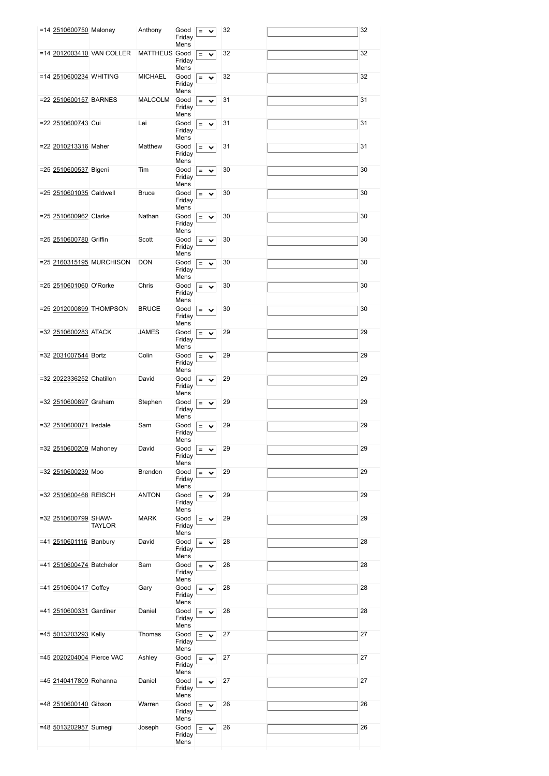|  | =14 2510600750 Maloney    |                           | Anthony              | Good                   | $=$<br>$\checkmark$ | 32 | 32 |
|--|---------------------------|---------------------------|----------------------|------------------------|---------------------|----|----|
|  |                           |                           |                      | Friday<br>Mens         |                     |    |    |
|  |                           | =14 2012003410 VAN COLLER | <b>MATTHEUS</b> Good | Friday                 | $=$<br>$\checkmark$ | 32 | 32 |
|  | =14 2510600234 WHITING    |                           | <b>MICHAEL</b>       | Mens<br>Good<br>Friday | $=$<br>$\checkmark$ | 32 | 32 |
|  | =22 2510600157 BARNES     |                           | MALCOLM              | Mens<br>Good<br>Friday | $=$ $\vee$          | 31 | 31 |
|  |                           |                           |                      | Mens                   |                     |    |    |
|  | =22 2510600743 Cui        |                           | Lei                  | Good<br>Friday<br>Mens | $=$<br>$\checkmark$ | 31 | 31 |
|  | =22 2010213316 Maher      |                           | Matthew              | Good<br>Friday<br>Mens | $=$ $\vee$          | 31 | 31 |
|  | =25 2510600537 Bigeni     |                           | Tim                  | Good<br>Friday<br>Mens | $=$ $\vee$          | 30 | 30 |
|  | =25 2510601035 Caldwell   |                           | <b>Bruce</b>         | Good<br>Friday         | $=$<br>$\checkmark$ | 30 | 30 |
|  | =25 2510600962 Clarke     |                           | Nathan               | Mens<br>Good<br>Friday | $=$ $\vee$          | 30 | 30 |
|  | =25 2510600780 Griffin    |                           | Scott                | Mens<br>Good           | $=$<br>$\checkmark$ | 30 | 30 |
|  |                           |                           |                      | Friday<br>Mens         |                     |    |    |
|  |                           | =25 2160315195 MURCHISON  | <b>DON</b>           | Good<br>Friday<br>Mens | $=$ $\vee$          | 30 | 30 |
|  | =25 2510601060 O'Rorke    |                           | Chris                | Good<br>Friday<br>Mens | $=$ $\vee$          | 30 | 30 |
|  |                           | =25 2012000899 THOMPSON   | <b>BRUCE</b>         | Good<br>Friday         | $=$ $\vee$          | 30 | 30 |
|  | =32 2510600283 ATACK      |                           | JAMES                | Mens<br>Good<br>Friday | $=$ $\vee$          | 29 | 29 |
|  | =32 2031007544 Bortz      |                           | Colin                | Mens<br>Good<br>Friday | $=$<br>$\checkmark$ | 29 | 29 |
|  |                           |                           |                      | Mens                   |                     |    |    |
|  | =32 2022336252 Chatillon  |                           | David                | Good<br>Friday<br>Mens | $=$ $\vee$          | 29 | 29 |
|  | =32 2510600897 Graham     |                           | Stephen              | Good<br>Friday<br>Mens | $=$ $\vee$          | 29 | 29 |
|  | =32 2510600071 Iredale    |                           | Sam                  | Good<br>Friday<br>Mens | $=$ $\vee$          | 29 | 29 |
|  | =32 2510600209 Mahoney    |                           | David                | Good<br>Friday         | $=$ $\vee$          | 29 | 29 |
|  | =32 2510600239 Moo        |                           | Brendon              | Mens<br>Good           | $=$<br>$\checkmark$ | 29 | 29 |
|  | =32 2510600468 REISCH     |                           | <b>ANTON</b>         | Friday<br>Mens<br>Good | $=$                 | 29 | 29 |
|  |                           |                           |                      | Friday<br>Mens         | $\checkmark$        |    |    |
|  | =32 2510600799 SHAW-      | <b>TAYLOR</b>             | <b>MARK</b>          | Good<br>Friday<br>Mens | $=$ $\vee$          | 29 | 29 |
|  | =41 2510601116 Banbury    |                           | David                | Good<br>Friday<br>Mens | $=$<br>$\checkmark$ | 28 | 28 |
|  | =41 2510600474 Batchelor  |                           | Sam                  | Good<br>Friday<br>Mens | $=$ $\vee$          | 28 | 28 |
|  | =41 2510600417 Coffey     |                           | Gary                 | Good<br>Friday         | $=$<br>$\checkmark$ | 28 | 28 |
|  | =41 2510600331 Gardiner   |                           | Daniel               | Mens<br>Good<br>Friday | $=$<br>$\checkmark$ | 28 | 28 |
|  | =45 5013203293 Kelly      |                           | Thomas               | Mens<br>Good<br>Friday | $=$ $\vee$          | 27 | 27 |
|  | =45 2020204004 Pierce VAC |                           | Ashley               | Mens<br>Good<br>Friday | $=$ $\vee$          | 27 | 27 |
|  | =45 2140417809 Rohanna    |                           | Daniel               | Mens<br>Good           |                     | 27 | 27 |
|  |                           |                           |                      | Friday<br>Mens         | $=$ $\vee$          |    |    |
|  | =48 2510600140 Gibson     |                           | Warren               | Good<br>Friday<br>Mens | $=$<br>$\checkmark$ | 26 | 26 |
|  | =48 5013202957 Sumegi     |                           | Joseph               | Good<br>Friday<br>Mens | $=$<br>$\checkmark$ | 26 | 26 |
|  |                           |                           |                      |                        |                     |    |    |